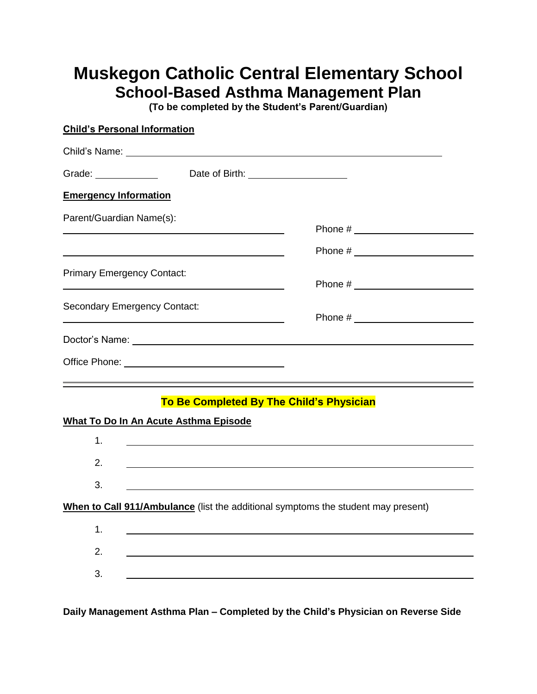## **Muskegon Catholic Central Elementary School School-Based Asthma Management Plan**

**(To be completed by the Student's Parent/Guardian)**

| <b>Child's Personal Information</b>                                                                                                                                                                                                                                                                                                                   |                                                                                   |
|-------------------------------------------------------------------------------------------------------------------------------------------------------------------------------------------------------------------------------------------------------------------------------------------------------------------------------------------------------|-----------------------------------------------------------------------------------|
|                                                                                                                                                                                                                                                                                                                                                       |                                                                                   |
| Grade: <u>with the set of the set of the set of the set of the set of the set of the set of the set of the set of the set of the set of the set of the set of the set of the set of the set of the set of the set of the set of </u>                                                                                                                  |                                                                                   |
| <b>Emergency Information</b>                                                                                                                                                                                                                                                                                                                          |                                                                                   |
| Parent/Guardian Name(s):                                                                                                                                                                                                                                                                                                                              |                                                                                   |
|                                                                                                                                                                                                                                                                                                                                                       |                                                                                   |
|                                                                                                                                                                                                                                                                                                                                                       |                                                                                   |
| <b>Primary Emergency Contact:</b>                                                                                                                                                                                                                                                                                                                     |                                                                                   |
|                                                                                                                                                                                                                                                                                                                                                       |                                                                                   |
| <b>Secondary Emergency Contact:</b>                                                                                                                                                                                                                                                                                                                   |                                                                                   |
| <u> 1989 - Johann Barbara, marka a shekara tsa 1989 - An tsa 1989 - An tsa 1989 - An tsa 1989 - An tsa 1989 - An</u><br>Doctor's Name: Note and the set of the set of the set of the set of the set of the set of the set of the set of the set of the set of the set of the set of the set of the set of the set of the set of the set of the set of |                                                                                   |
|                                                                                                                                                                                                                                                                                                                                                       |                                                                                   |
|                                                                                                                                                                                                                                                                                                                                                       |                                                                                   |
|                                                                                                                                                                                                                                                                                                                                                       | To Be Completed By The Child's Physician                                          |
| What To Do In An Acute Asthma Episode                                                                                                                                                                                                                                                                                                                 |                                                                                   |
| 1.                                                                                                                                                                                                                                                                                                                                                    |                                                                                   |
| 2.                                                                                                                                                                                                                                                                                                                                                    |                                                                                   |
| 3.                                                                                                                                                                                                                                                                                                                                                    | <u> 1980 - Johann Barnett, fransk politik (f. 1980)</u>                           |
|                                                                                                                                                                                                                                                                                                                                                       | When to Call 911/Ambulance (list the additional symptoms the student may present) |
| 1.                                                                                                                                                                                                                                                                                                                                                    |                                                                                   |
| 2.                                                                                                                                                                                                                                                                                                                                                    |                                                                                   |
| 3.                                                                                                                                                                                                                                                                                                                                                    |                                                                                   |
|                                                                                                                                                                                                                                                                                                                                                       |                                                                                   |

**Daily Management Asthma Plan – Completed by the Child's Physician on Reverse Side**